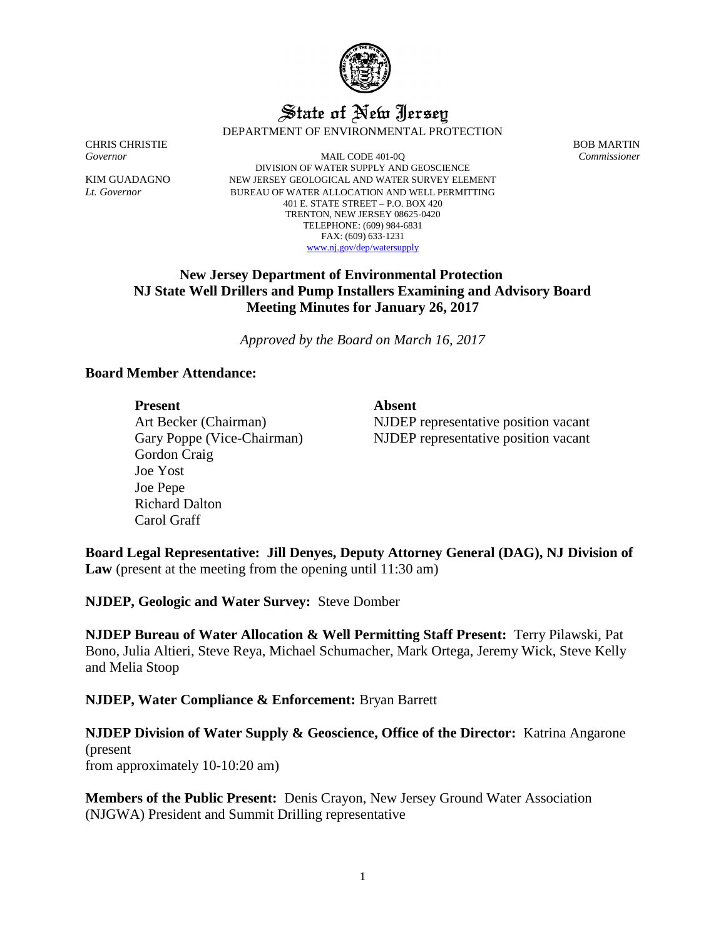

# State of New Jersey DEPARTMENT OF ENVIRONMENTAL PROTECTION

CHRIS CHRISTIE BOB MARTIN

*Governor* MAIL CODE 401-0Q *Commissioner* DIVISION OF WATER SUPPLY AND GEOSCIENCE KIM GUADAGNO NEW JERSEY GEOLOGICAL AND WATER SURVEY ELEMENT *Lt. Governor* BUREAU OF WATER ALLOCATION AND WELL PERMITTING 401 E. STATE STREET – P.O. BOX 420 TRENTON, NEW JERSEY 08625-0420 TELEPHONE: (609) 984-6831 FAX: (609) 633-1231 [www.nj.gov/dep/watersupply](http://www.nj.gov/dep/watersupply)

# **New Jersey Department of Environmental Protection NJ State Well Drillers and Pump Installers Examining and Advisory Board Meeting Minutes for January 26, 2017**

*Approved by the Board on March 16, 2017*

## **Board Member Attendance:**

### Present Absent

Art Becker (Chairman) Gary Poppe (Vice-Chairman) Gordon Craig Joe Yost Joe Pepe Richard Dalton Carol Graff

NJDEP representative position vacant NJDEP representative position vacant

**Board Legal Representative: Jill Denyes, Deputy Attorney General (DAG), NJ Division of Law** (present at the meeting from the opening until 11:30 am)

**NJDEP, Geologic and Water Survey:** Steve Domber

**NJDEP Bureau of Water Allocation & Well Permitting Staff Present:** Terry Pilawski, Pat Bono, Julia Altieri, Steve Reya, Michael Schumacher, Mark Ortega, Jeremy Wick, Steve Kelly and Melia Stoop

# **NJDEP, Water Compliance & Enforcement:** Bryan Barrett

**NJDEP Division of Water Supply & Geoscience, Office of the Director:** Katrina Angarone (present from approximately 10-10:20 am)

**Members of the Public Present:** Denis Crayon, New Jersey Ground Water Association (NJGWA) President and Summit Drilling representative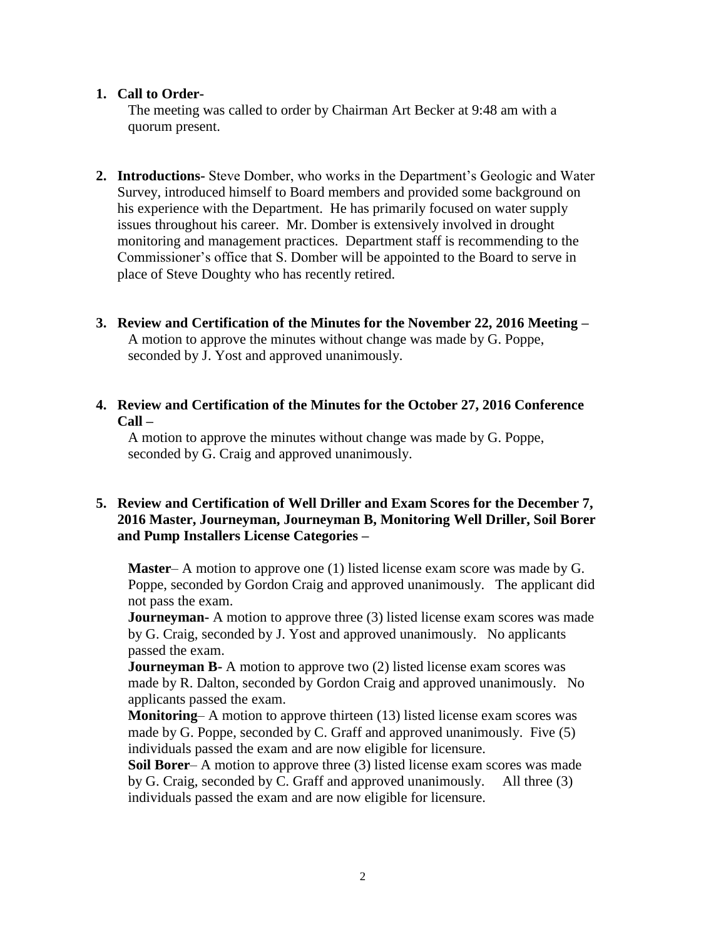## **1. Call to Order-**

The meeting was called to order by Chairman Art Becker at 9:48 am with a quorum present.

- **2. Introductions-** Steve Domber, who works in the Department's Geologic and Water Survey, introduced himself to Board members and provided some background on his experience with the Department. He has primarily focused on water supply issues throughout his career. Mr. Domber is extensively involved in drought monitoring and management practices. Department staff is recommending to the Commissioner's office that S. Domber will be appointed to the Board to serve in place of Steve Doughty who has recently retired.
- **3. Review and Certification of the Minutes for the November 22, 2016 Meeting –** A motion to approve the minutes without change was made by G. Poppe, seconded by J. Yost and approved unanimously.
- **4. Review and Certification of the Minutes for the October 27, 2016 Conference Call –**

A motion to approve the minutes without change was made by G. Poppe, seconded by G. Craig and approved unanimously.

## **5. Review and Certification of Well Driller and Exam Scores for the December 7, 2016 Master, Journeyman, Journeyman B, Monitoring Well Driller, Soil Borer and Pump Installers License Categories –**

**Master**– A motion to approve one (1) listed license exam score was made by G. Poppe, seconded by Gordon Craig and approved unanimously. The applicant did not pass the exam.

**Journeyman-** A motion to approve three (3) listed license exam scores was made by G. Craig, seconded by J. Yost and approved unanimously. No applicants passed the exam.

**Journeyman B-** A motion to approve two (2) listed license exam scores was made by R. Dalton, seconded by Gordon Craig and approved unanimously. No applicants passed the exam.

**Monitoring–** A motion to approve thirteen (13) listed license exam scores was made by G. Poppe, seconded by C. Graff and approved unanimously. Five (5) individuals passed the exam and are now eligible for licensure.

**Soil Borer–** A motion to approve three (3) listed license exam scores was made by G. Craig, seconded by C. Graff and approved unanimously. All three (3) individuals passed the exam and are now eligible for licensure.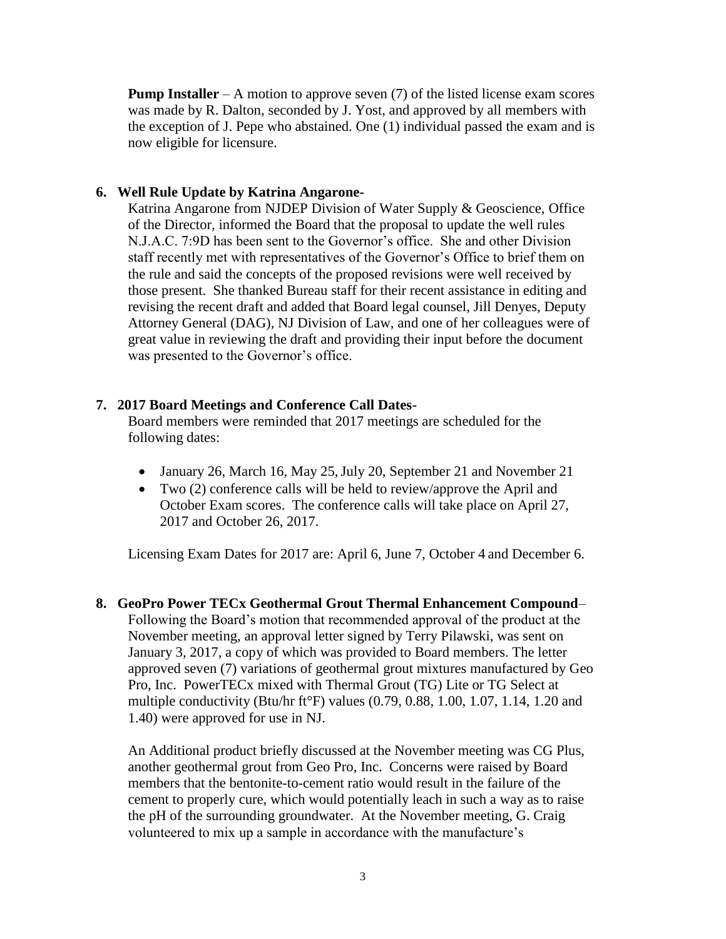**Pump Installer** – A motion to approve seven (7) of the listed license exam scores was made by R. Dalton, seconded by J. Yost, and approved by all members with the exception of J. Pepe who abstained. One (1) individual passed the exam and is now eligible for licensure.

#### **6. Well Rule Update by Katrina Angarone-**

Katrina Angarone from NJDEP Division of Water Supply & Geoscience, Office of the Director, informed the Board that the proposal to update the well rules N.J.A.C. 7:9D has been sent to the Governor's office. She and other Division staff recently met with representatives of the Governor's Office to brief them on the rule and said the concepts of the proposed revisions were well received by those present. She thanked Bureau staff for their recent assistance in editing and revising the recent draft and added that Board legal counsel, Jill Denyes, Deputy Attorney General (DAG), NJ Division of Law, and one of her colleagues were of great value in reviewing the draft and providing their input before the document was presented to the Governor's office.

## **7. 2017 Board Meetings and Conference Call Dates-**

Board members were reminded that 2017 meetings are scheduled for the following dates:

- January 26, March 16, May 25, July 20, September 21 and November 21
- Two (2) conference calls will be held to review/approve the April and October Exam scores. The conference calls will take place on April 27, 2017 and October 26, 2017.

Licensing Exam Dates for 2017 are: April 6, June 7, October 4 and December 6.

**8. GeoPro Power TECx Geothermal Grout Thermal Enhancement Compound**– Following the Board's motion that recommended approval of the product at the November meeting, an approval letter signed by Terry Pilawski, was sent on January 3, 2017, a copy of which was provided to Board members. The letter approved seven (7) variations of geothermal grout mixtures manufactured by Geo Pro, Inc. PowerTECx mixed with Thermal Grout (TG) Lite or TG Select at multiple conductivity (Btu/hr ft°F) values (0.79, 0.88, 1.00, 1.07, 1.14, 1.20 and 1.40) were approved for use in NJ.

An Additional product briefly discussed at the November meeting was CG Plus, another geothermal grout from Geo Pro, Inc. Concerns were raised by Board members that the bentonite-to-cement ratio would result in the failure of the cement to properly cure, which would potentially leach in such a way as to raise the pH of the surrounding groundwater. At the November meeting, G. Craig volunteered to mix up a sample in accordance with the manufacture's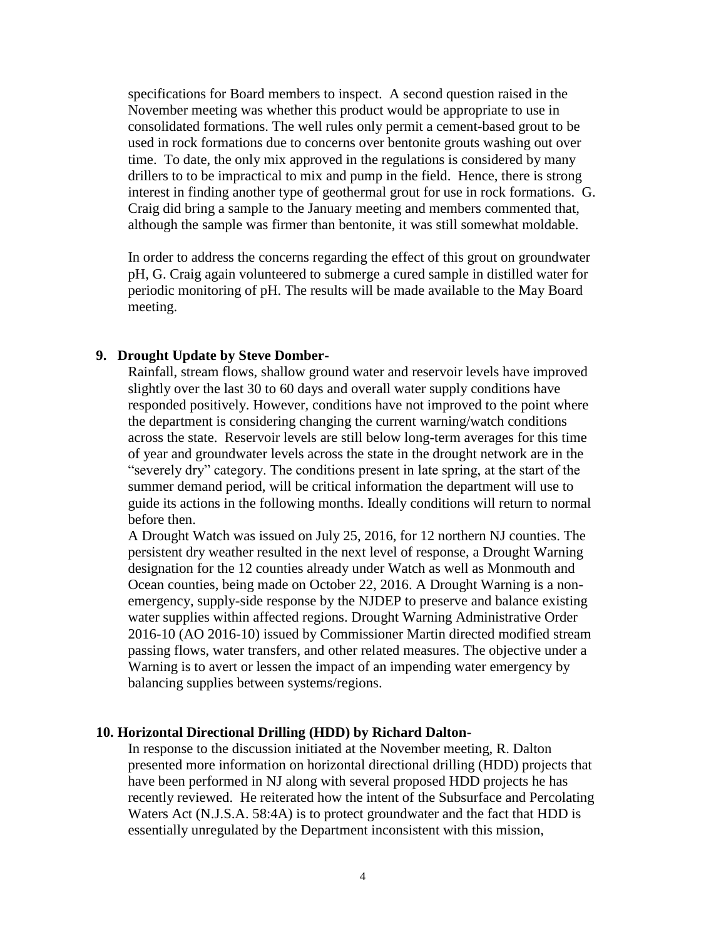specifications for Board members to inspect. A second question raised in the November meeting was whether this product would be appropriate to use in consolidated formations. The well rules only permit a cement-based grout to be used in rock formations due to concerns over bentonite grouts washing out over time. To date, the only mix approved in the regulations is considered by many drillers to to be impractical to mix and pump in the field. Hence, there is strong interest in finding another type of geothermal grout for use in rock formations. G. Craig did bring a sample to the January meeting and members commented that, although the sample was firmer than bentonite, it was still somewhat moldable.

In order to address the concerns regarding the effect of this grout on groundwater pH, G. Craig again volunteered to submerge a cured sample in distilled water for periodic monitoring of pH. The results will be made available to the May Board meeting.

#### **9. Drought Update by Steve Domber-**

Rainfall, stream flows, shallow ground water and reservoir levels have improved slightly over the last 30 to 60 days and overall water supply conditions have responded positively. However, conditions have not improved to the point where the department is considering changing the current warning/watch conditions across the state. Reservoir levels are still below long-term averages for this time of year and groundwater levels across the state in the drought network are in the "severely dry" category. The conditions present in late spring, at the start of the summer demand period, will be critical information the department will use to guide its actions in the following months. Ideally conditions will return to normal before then.

A Drought Watch was issued on July 25, 2016, for 12 northern NJ counties. The persistent dry weather resulted in the next level of response, a Drought Warning designation for the 12 counties already under Watch as well as Monmouth and Ocean counties, being made on October 22, 2016. A Drought Warning is a nonemergency, supply-side response by the NJDEP to preserve and balance existing water supplies within affected regions. Drought Warning Administrative Order 2016-10 (AO 2016-10) issued by Commissioner Martin directed modified stream passing flows, water transfers, and other related measures. The objective under a Warning is to avert or lessen the impact of an impending water emergency by balancing supplies between systems/regions.

#### **10. Horizontal Directional Drilling (HDD) by Richard Dalton-**

In response to the discussion initiated at the November meeting, R. Dalton presented more information on horizontal directional drilling (HDD) projects that have been performed in NJ along with several proposed HDD projects he has recently reviewed. He reiterated how the intent of the Subsurface and Percolating Waters Act (N.J.S.A. 58:4A) is to protect groundwater and the fact that HDD is essentially unregulated by the Department inconsistent with this mission,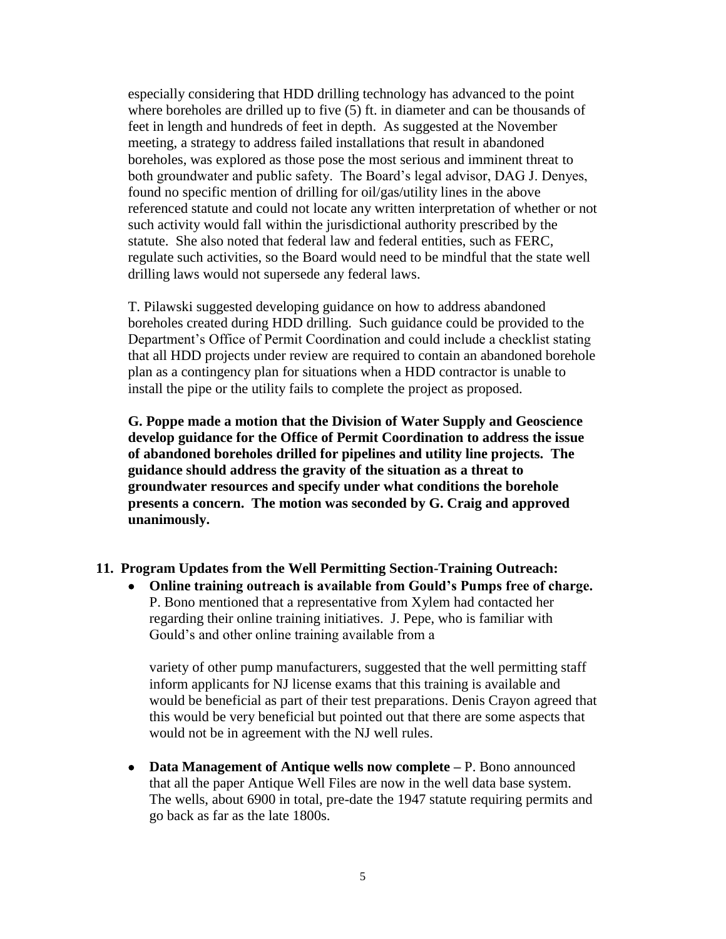especially considering that HDD drilling technology has advanced to the point where boreholes are drilled up to five (5) ft. in diameter and can be thousands of feet in length and hundreds of feet in depth. As suggested at the November meeting, a strategy to address failed installations that result in abandoned boreholes, was explored as those pose the most serious and imminent threat to both groundwater and public safety. The Board's legal advisor, DAG J. Denyes, found no specific mention of drilling for oil/gas/utility lines in the above referenced statute and could not locate any written interpretation of whether or not such activity would fall within the jurisdictional authority prescribed by the statute. She also noted that federal law and federal entities, such as FERC, regulate such activities, so the Board would need to be mindful that the state well drilling laws would not supersede any federal laws.

T. Pilawski suggested developing guidance on how to address abandoned boreholes created during HDD drilling. Such guidance could be provided to the Department's Office of Permit Coordination and could include a checklist stating that all HDD projects under review are required to contain an abandoned borehole plan as a contingency plan for situations when a HDD contractor is unable to install the pipe or the utility fails to complete the project as proposed.

**G. Poppe made a motion that the Division of Water Supply and Geoscience develop guidance for the Office of Permit Coordination to address the issue of abandoned boreholes drilled for pipelines and utility line projects. The guidance should address the gravity of the situation as a threat to groundwater resources and specify under what conditions the borehole presents a concern. The motion was seconded by G. Craig and approved unanimously.**

### **11. Program Updates from the Well Permitting Section-Training Outreach:**

• **Online training outreach is available from Gould's Pumps free of charge.**  P. Bono mentioned that a representative from Xylem had contacted her regarding their online training initiatives. J. Pepe, who is familiar with Gould's and other online training available from a

variety of other pump manufacturers, suggested that the well permitting staff inform applicants for NJ license exams that this training is available and would be beneficial as part of their test preparations. Denis Crayon agreed that this would be very beneficial but pointed out that there are some aspects that would not be in agreement with the NJ well rules.

• **Data Management of Antique wells now complete –** P. Bono announced that all the paper Antique Well Files are now in the well data base system. The wells, about 6900 in total, pre-date the 1947 statute requiring permits and go back as far as the late 1800s.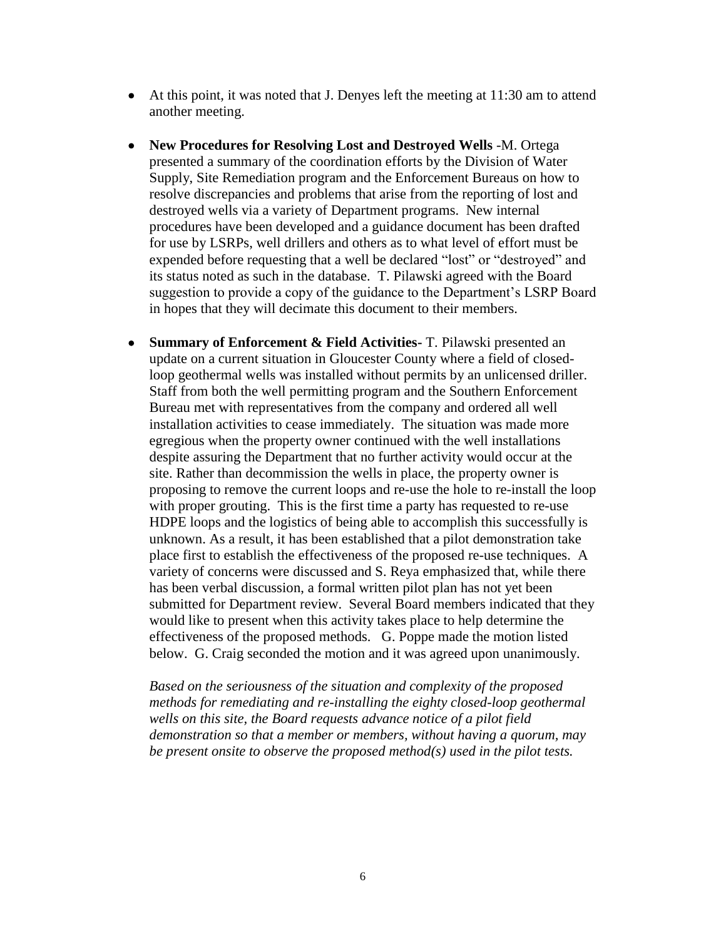- At this point, it was noted that J. Denyes left the meeting at 11:30 am to attend another meeting.
- **New Procedures for Resolving Lost and Destroyed Wells** -M. Ortega presented a summary of the coordination efforts by the Division of Water Supply, Site Remediation program and the Enforcement Bureaus on how to resolve discrepancies and problems that arise from the reporting of lost and destroyed wells via a variety of Department programs. New internal procedures have been developed and a guidance document has been drafted for use by LSRPs, well drillers and others as to what level of effort must be expended before requesting that a well be declared "lost" or "destroyed" and its status noted as such in the database. T. Pilawski agreed with the Board suggestion to provide a copy of the guidance to the Department's LSRP Board in hopes that they will decimate this document to their members.
- **Summary of Enforcement & Field Activities-** T. Pilawski presented an update on a current situation in Gloucester County where a field of closedloop geothermal wells was installed without permits by an unlicensed driller. Staff from both the well permitting program and the Southern Enforcement Bureau met with representatives from the company and ordered all well installation activities to cease immediately. The situation was made more egregious when the property owner continued with the well installations despite assuring the Department that no further activity would occur at the site. Rather than decommission the wells in place, the property owner is proposing to remove the current loops and re-use the hole to re-install the loop with proper grouting. This is the first time a party has requested to re-use HDPE loops and the logistics of being able to accomplish this successfully is unknown. As a result, it has been established that a pilot demonstration take place first to establish the effectiveness of the proposed re-use techniques. A variety of concerns were discussed and S. Reya emphasized that, while there has been verbal discussion, a formal written pilot plan has not yet been submitted for Department review. Several Board members indicated that they would like to present when this activity takes place to help determine the effectiveness of the proposed methods. G. Poppe made the motion listed below. G. Craig seconded the motion and it was agreed upon unanimously.

*Based on the seriousness of the situation and complexity of the proposed methods for remediating and re-installing the eighty closed-loop geothermal wells on this site, the Board requests advance notice of a pilot field demonstration so that a member or members, without having a quorum, may be present onsite to observe the proposed method(s) used in the pilot tests.*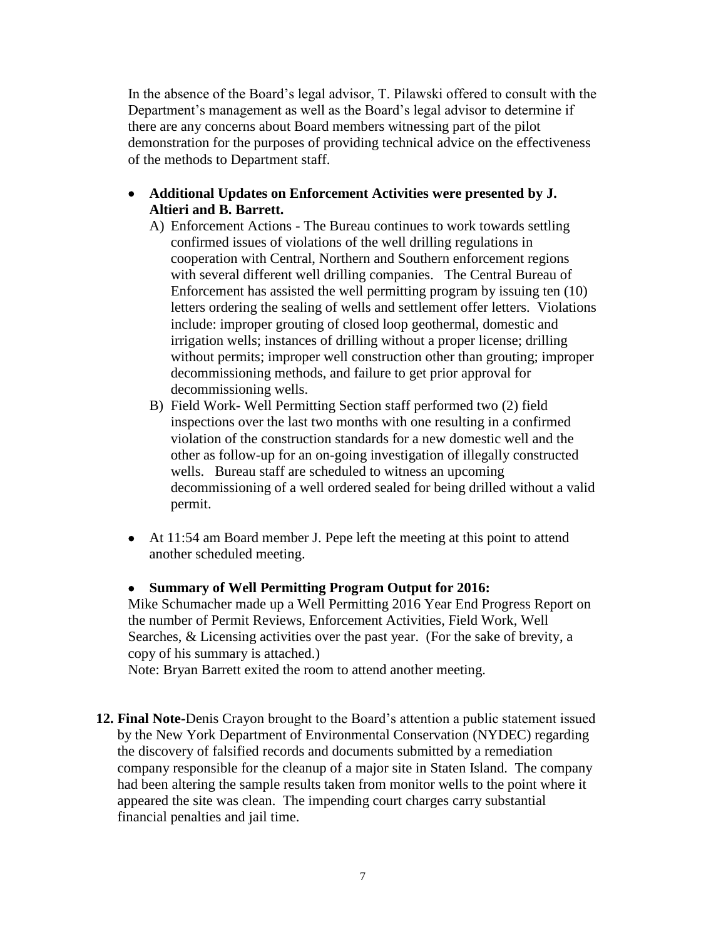In the absence of the Board's legal advisor, T. Pilawski offered to consult with the Department's management as well as the Board's legal advisor to determine if there are any concerns about Board members witnessing part of the pilot demonstration for the purposes of providing technical advice on the effectiveness of the methods to Department staff.

- **Additional Updates on Enforcement Activities were presented by J. Altieri and B. Barrett.** 
	- A) Enforcement Actions The Bureau continues to work towards settling confirmed issues of violations of the well drilling regulations in cooperation with Central, Northern and Southern enforcement regions with several different well drilling companies. The Central Bureau of Enforcement has assisted the well permitting program by issuing ten (10) letters ordering the sealing of wells and settlement offer letters. Violations include: improper grouting of closed loop geothermal, domestic and irrigation wells; instances of drilling without a proper license; drilling without permits; improper well construction other than grouting; improper decommissioning methods, and failure to get prior approval for decommissioning wells.
	- B) Field Work- Well Permitting Section staff performed two (2) field inspections over the last two months with one resulting in a confirmed violation of the construction standards for a new domestic well and the other as follow-up for an on-going investigation of illegally constructed wells. Bureau staff are scheduled to witness an upcoming decommissioning of a well ordered sealed for being drilled without a valid permit.
- At 11:54 am Board member J. Pepe left the meeting at this point to attend another scheduled meeting.

• **Summary of Well Permitting Program Output for 2016:** Mike Schumacher made up a Well Permitting 2016 Year End Progress Report on the number of Permit Reviews, Enforcement Activities, Field Work, Well Searches, & Licensing activities over the past year. (For the sake of brevity, a copy of his summary is attached.)

Note: Bryan Barrett exited the room to attend another meeting.

**12. Final Note-**Denis Crayon brought to the Board's attention a public statement issued by the New York Department of Environmental Conservation (NYDEC) regarding the discovery of falsified records and documents submitted by a remediation company responsible for the cleanup of a major site in Staten Island. The company had been altering the sample results taken from monitor wells to the point where it appeared the site was clean. The impending court charges carry substantial financial penalties and jail time.